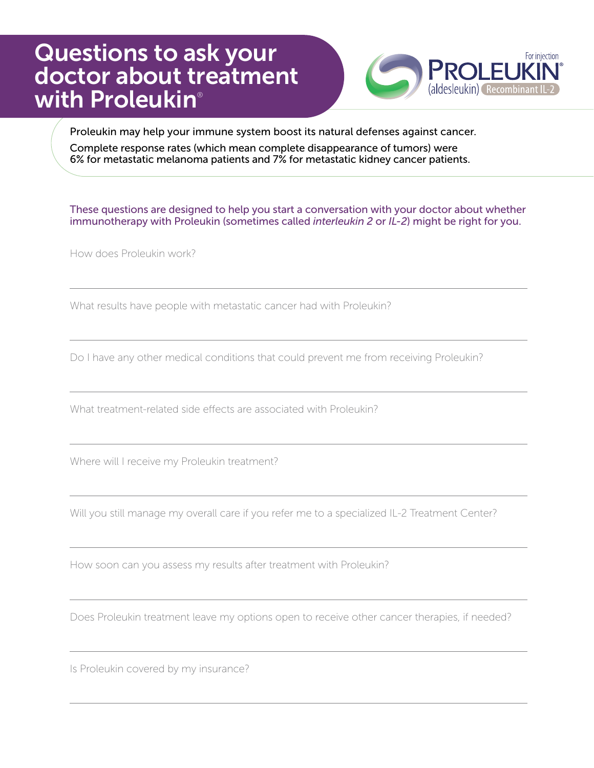# Questions to ask your doctor about treatment with Proleukin®



Proleukin may help your immune system boost its natural defenses against cancer. Complete response rates (which mean complete disappearance of tumors) were 6% for metastatic melanoma patients and 7% for metastatic kidney cancer patients.

These questions are designed to help you start a conversation with your doctor about whether immunotherapy with Proleukin (sometimes called *interleukin 2* or *IL-2*) might be right for you.

How does Proleukin work?

What results have people with metastatic cancer had with Proleukin?

Do I have any other medical conditions that could prevent me from receiving Proleukin?

What treatment-related side effects are associated with Proleukin?

Where will I receive my Proleukin treatment?

Will you still manage my overall care if you refer me to a specialized IL-2 Treatment Center?

How soon can you assess my results after treatment with Proleukin?

Does Proleukin treatment leave my options open to receive other cancer therapies, if needed?

Is Proleukin covered by my insurance?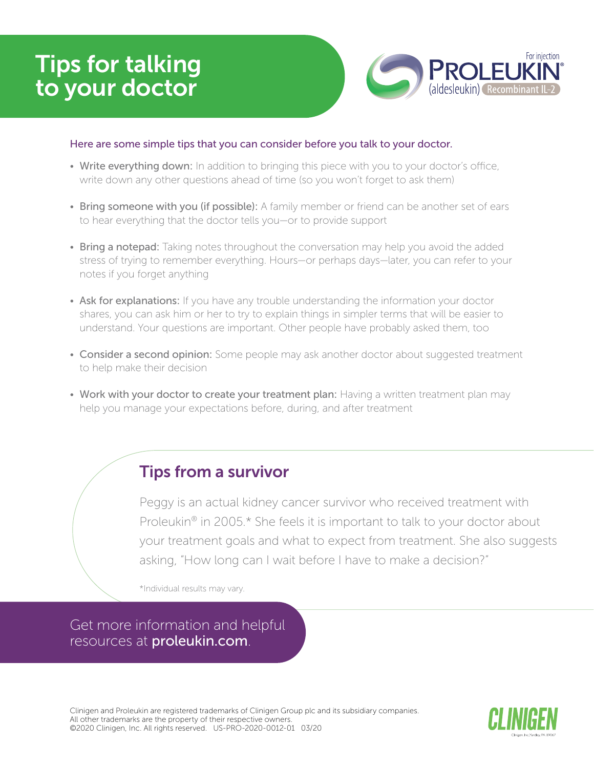# Tips for talking to your doctor



### Here are some simple tips that you can consider before you talk to your doctor.

- Write everything down: In addition to bringing this piece with you to your doctor's office, write down any other questions ahead of time (so you won't forget to ask them)
- Bring someone with you (if possible): A family member or friend can be another set of ears to hear everything that the doctor tells you—or to provide support
- Bring a notepad: Taking notes throughout the conversation may help you avoid the added stress of trying to remember everything. Hours—or perhaps days—later, you can refer to your notes if you forget anything
- Ask for explanations: If you have any trouble understanding the information your doctor shares, you can ask him or her to try to explain things in simpler terms that will be easier to understand. Your questions are important. Other people have probably asked them, too
- Consider a second opinion: Some people may ask another doctor about suggested treatment to help make their decision
- Work with your doctor to create your treatment plan: Having a written treatment plan may help you manage your expectations before, during, and after treatment

# Tips from a survivor

Peggy is an actual kidney cancer survivor who received treatment with Proleukin® in 2005.\* She feels it is important to talk to your doctor about your treatment goals and what to expect from treatment. She also suggests asking, "How long can I wait before I have to make a decision?"

\*Individual results may vary.

Get more information and helpful resources at proleukin.com.

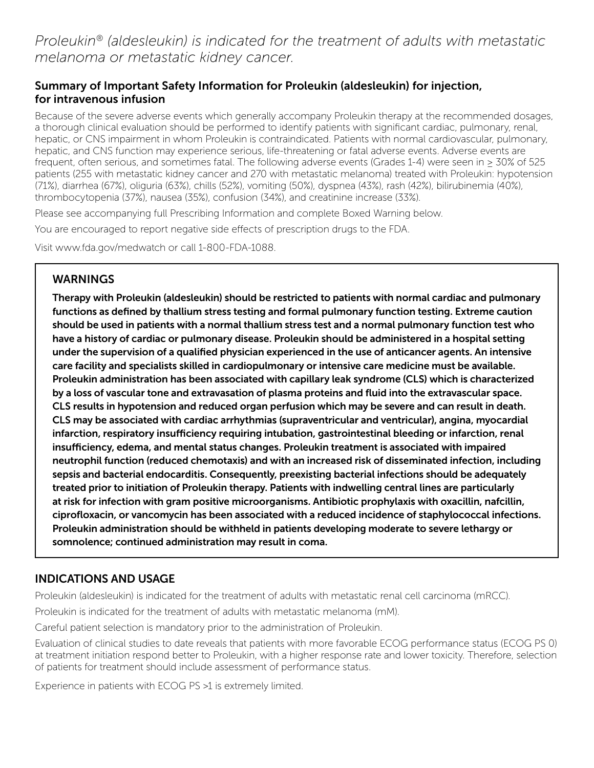# *Proleukin® (aldesleukin) is indicated for the treatment of adults with metastatic melanoma or metastatic kidney cancer.*

### Summary of Important Safety Information for Proleukin (aldesleukin) for injection, for intravenous infusion

Because of the severe adverse events which generally accompany Proleukin therapy at the recommended dosages, a thorough clinical evaluation should be performed to identify patients with significant cardiac, pulmonary, renal, hepatic, or CNS impairment in whom Proleukin is contraindicated. Patients with normal cardiovascular, pulmonary, hepatic, and CNS function may experience serious, life-threatening or fatal adverse events. Adverse events are frequent, often serious, and sometimes fatal. The following adverse events (Grades 1-4) were seen in > 30% of 525 patients (255 with metastatic kidney cancer and 270 with metastatic melanoma) treated with Proleukin: hypotension (71%), diarrhea (67%), oliguria (63%), chills (52%), vomiting (50%), dyspnea (43%), rash (42%), bilirubinemia (40%), thrombocytopenia (37%), nausea (35%), confusion (34%), and creatinine increase (33%).

Please see accompanying full Prescribing Information and complete Boxed Warning below.

You are encouraged to report negative side effects of prescription drugs to the FDA.

Visit www.fda.gov/medwatch or call 1-800-FDA-1088.

### WARNINGS

Therapy with Proleukin (aldesleukin) should be restricted to patients with normal cardiac and pulmonary functions as defined by thallium stress testing and formal pulmonary function testing. Extreme caution should be used in patients with a normal thallium stress test and a normal pulmonary function test who have a history of cardiac or pulmonary disease. Proleukin should be administered in a hospital setting under the supervision of a qualified physician experienced in the use of anticancer agents. An intensive care facility and specialists skilled in cardiopulmonary or intensive care medicine must be available. Proleukin administration has been associated with capillary leak syndrome (CLS) which is characterized by a loss of vascular tone and extravasation of plasma proteins and fluid into the extravascular space. CLS results in hypotension and reduced organ perfusion which may be severe and can result in death. CLS may be associated with cardiac arrhythmias (supraventricular and ventricular), angina, myocardial infarction, respiratory insufficiency requiring intubation, gastrointestinal bleeding or infarction, renal insufficiency, edema, and mental status changes. Proleukin treatment is associated with impaired neutrophil function (reduced chemotaxis) and with an increased risk of disseminated infection, including sepsis and bacterial endocarditis. Consequently, preexisting bacterial infections should be adequately treated prior to initiation of Proleukin therapy. Patients with indwelling central lines are particularly at risk for infection with gram positive microorganisms. Antibiotic prophylaxis with oxacillin, nafcillin, ciprofloxacin, or vancomycin has been associated with a reduced incidence of staphylococcal infections. Proleukin administration should be withheld in patients developing moderate to severe lethargy or somnolence; continued administration may result in coma.

### INDICATIONS AND USAGE

Proleukin (aldesleukin) is indicated for the treatment of adults with metastatic renal cell carcinoma (mRCC).

Proleukin is indicated for the treatment of adults with metastatic melanoma (mM).

Careful patient selection is mandatory prior to the administration of Proleukin.

Evaluation of clinical studies to date reveals that patients with more favorable ECOG performance status (ECOG PS 0) at treatment initiation respond better to Proleukin, with a higher response rate and lower toxicity. Therefore, selection of patients for treatment should include assessment of performance status.

Experience in patients with ECOG PS >1 is extremely limited.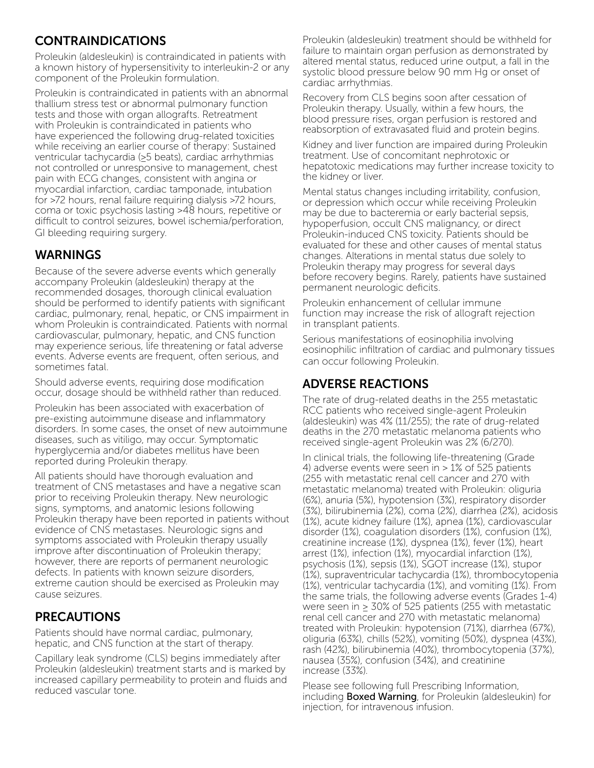## CONTRAINDICATIONS

Proleukin (aldesleukin) is contraindicated in patients with a known history of hypersensitivity to interleukin-2 or any component of the Proleukin formulation.

Proleukin is contraindicated in patients with an abnormal thallium stress test or abnormal pulmonary function tests and those with organ allografts. Retreatment with Proleukin is contraindicated in patients who have experienced the following drug-related toxicities while receiving an earlier course of therapy: Sustained ventricular tachycardia (≥5 beats), cardiac arrhythmias not controlled or unresponsive to management, chest pain with ECG changes, consistent with angina or myocardial infarction, cardiac tamponade, intubation for >72 hours, renal failure requiring dialysis >72 hours, coma or toxic psychosis lasting >48 hours, repetitive or difficult to control seizures, bowel ischemia/perforation, GI bleeding requiring surgery.

## WARNINGS

Because of the severe adverse events which generally accompany Proleukin (aldesleukin) therapy at the recommended dosages, thorough clinical evaluation should be performed to identify patients with significant cardiac, pulmonary, renal, hepatic, or CNS impairment in whom Proleukin is contraindicated. Patients with normal cardiovascular, pulmonary, hepatic, and CNS function may experience serious, life threatening or fatal adverse events. Adverse events are frequent, often serious, and sometimes fatal.

Should adverse events, requiring dose modification occur, dosage should be withheld rather than reduced.

Proleukin has been associated with exacerbation of pre-existing autoimmune disease and inflammatory disorders. In some cases, the onset of new autoimmune diseases, such as vitiligo, may occur. Symptomatic hyperglycemia and/or diabetes mellitus have been reported during Proleukin therapy.

All patients should have thorough evaluation and treatment of CNS metastases and have a negative scan prior to receiving Proleukin therapy. New neurologic signs, symptoms, and anatomic lesions following Proleukin therapy have been reported in patients without evidence of CNS metastases. Neurologic signs and symptoms associated with Proleukin therapy usually improve after discontinuation of Proleukin therapy; however, there are reports of permanent neurologic defects. In patients with known seizure disorders, extreme caution should be exercised as Proleukin may cause seizures.

# PRECAUTIONS

Patients should have normal cardiac, pulmonary, hepatic, and CNS function at the start of therapy.

Capillary leak syndrome (CLS) begins immediately after Proleukin (aldesleukin) treatment starts and is marked by increased capillary permeability to protein and fluids and reduced vascular tone.

Proleukin (aldesleukin) treatment should be withheld for failure to maintain organ perfusion as demonstrated by altered mental status, reduced urine output, a fall in the systolic blood pressure below 90 mm Hg or onset of cardiac arrhythmias.

Recovery from CLS begins soon after cessation of Proleukin therapy. Usually, within a few hours, the blood pressure rises, organ perfusion is restored and reabsorption of extravasated fluid and protein begins.

Kidney and liver function are impaired during Proleukin treatment. Use of concomitant nephrotoxic or hepatotoxic medications may further increase toxicity to the kidney or liver.

Mental status changes including irritability, confusion, or depression which occur while receiving Proleukin may be due to bacteremia or early bacterial sepsis, hypoperfusion, occult CNS malignancy, or direct Proleukin-induced CNS toxicity. Patients should be evaluated for these and other causes of mental status changes. Alterations in mental status due solely to Proleukin therapy may progress for several days before recovery begins. Rarely, patients have sustained permanent neurologic deficits.

Proleukin enhancement of cellular immune function may increase the risk of allograft rejection in transplant patients.

Serious manifestations of eosinophilia involving eosinophilic infiltration of cardiac and pulmonary tissues can occur following Proleukin.

## ADVERSE REACTIONS

The rate of drug-related deaths in the 255 metastatic RCC patients who received single-agent Proleukin (aldesleukin) was 4% (11/255); the rate of drug-related deaths in the 270 metastatic melanoma patients who received single-agent Proleukin was 2% (6/270).

In clinical trials, the following life-threatening (Grade 4) adverse events were seen in > 1% of 525 patients (255 with metastatic renal cell cancer and 270 with metastatic melanoma) treated with Proleukin: oliguria (6%), anuria (5%), hypotension (3%), respiratory disorder (3%), bilirubinemia (2%), coma (2%), diarrhea (2%), acidosis (1%), acute kidney failure (1%), apnea (1%), cardiovascular disorder (1%), coagulation disorders (1%), confusion (1%), creatinine increase (1%), dyspnea (1%), fever (1%), heart arrest (1%), infection (1%), myocardial infarction (1%), psychosis (1%), sepsis (1%), SGOT increase (1%), stupor (1%), supraventricular tachycardia (1%), thrombocytopenia (1%), ventricular tachycardia (1%), and vomiting (1%). From the same trials, the following adverse events (Grades 1-4) were seen in  $\geq$  30% of 525 patients (255 with metastatic renal cell cancer and 270 with metastatic melanoma) treated with Proleukin: hypotension (71%), diarrhea (67%), oliguria (63%), chills (52%), vomiting (50%), dyspnea (43%), rash (42%), bilirubinemia (40%), thrombocytopenia (37%), nausea (35%), confusion (34%), and creatinine increase (33%).

Please see following full Prescribing Information, including Boxed Warning, for Proleukin (aldesleukin) for injection, for intravenous infusion.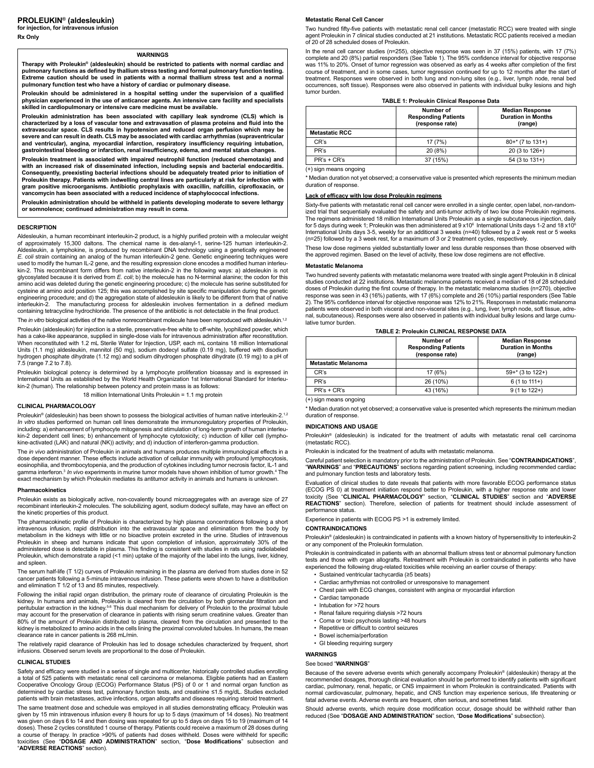#### **Rx Only**

#### **WARNINGS**

**Therapy with Proleukin® (aldesleukin) should be restricted to patients with normal cardiac and pulmonary functions as defined by thallium stress testing and formal pulmonary function testing. Extreme caution should be used in patients with a normal thallium stress test and a normal pulmonary function test who have a history of cardiac or pulmonary disease.**

Proleukin should be administered in a hospital setting under the supervision of a qualified<br>physician experienced in the use of anticancer agents. An intensive care facility and specialists<br>skilled in cardiopulmonary or in

**Proleukin administration has been associated with capillary leak syndrome (CLS) which is characterized by a loss of vascular tone and extravasation of plasma proteins and fluid into the extravascular space. CLS results in hypotension and reduced organ perfusion which may be severe and can result in death. CLS may be associated with cardiac arrhythmias (supraventricular and ventricular), angina, myocardial infarction, respiratory insufficiency requiring intubation, gastrointestinal bleeding or infarction, renal insufficiency, edema, and mental status changes.**

**Proleukin treatment is associated with impaired neutrophil function (reduced chemotaxis) and with an increased risk of disseminated infection, including sepsis and bacterial endocarditis. Consequently, preexisting bacterial infections should be adequately treated prior to initiation of Proleukin therapy. Patients with indwelling central lines are particularly at risk for infection with gram positive microorganisms. Antibiotic prophylaxis with oxacillin, nafcillin, ciprofloxacin, or vancomycin has been associated with a reduced incidence of staphylococcal infections.**

**Proleukin administration should be withheld in patients developing moderate to severe lethargy or somnolence; continued administration may result in coma.**

#### **DESCRIPTION**

Aldesleukin, a human recombinant interleukin-2 product, is a highly purified protein with a molecular weight of approximately 15,300 daltons. The chemical name is des-alanyl-1, serine-125 human interleukin-2. Aldesleukin, a lymphokine, is produced by recombinant DNA technology using a genetically engineered *E. coli* strain containing an analog of the human interleukin-2 gene. Genetic engineering techniques were used to modify the human IL-2 gene, and the resulting expression clone encodes a modified human interleukin-2. This recombinant form differs from native interleukin-2 in the following ways: a) aldesleukin is not glycosylated because it is derived from *E. coli*; b) the molecule has no N-terminal alanine; the codon for this amino acid was deleted during the genetic engineering procedure; c) the molecule has serine substituted for cysteine at amino acid position 125; this was accomplished by site specific manipulation during the genetic engineering procedure; and d) the aggregation state of aldesleukin is likely to be different from that of native interleukin-2. The manufacturing process for aldesleukin involves fermentation in a defined medium containing tetracycline hydrochloride. The presence of the antibiotic is not detectable in the final product.

The *in vitro* biological activities of the native nonrecombinant molecule have been reproduced with aldesleukin.<sup>1,2</sup>

Proleukin (aldesleukin) for injection is a sterile, preservative-free white to off-white, lyophilized powder, which has a cake-like appearance, supplied in single-dose vials for intravenous administration after reconstitution. When reconstituted with 1.2 mL Sterile Water for Injection, USP, each mL contains 18 million International Units (1.1 mg) aldesleukin, mannitol (50 mg), sodium dodecyl sulfate (0.19 mg), buffered with disodium hydrogen phosphate dihydrate (1.12 mg) and sodium dihydrogen phosphate dihydrate (0.19 mg) to a pH of 7.5 (range 7.2 to 7.8).

Proleukin biological potency is determined by a lymphocyte proliferation bioassay and is expressed in International Units as established by the World Health Organization 1st International Standard for Interleukin-2 (human). The relationship between potency and protein mass is as follows:

18 million International Units Proleukin = 1.1 mg protein

#### **CLINICAL PHARMACOLOGY**

Proleukin<sup>®</sup> (aldesleukin) has been shown to possess the biological activities of human native interleukin-2.<sup>1,2</sup> *In vitro* studies performed on human cell lines demonstrate the immunoregulatory properties of Proleukin, including: a) enhancement of lymphocyte mitogenesis and stimulation of long-term growth of human interleu-kin-2 dependent cell lines; b) enhancement of lymphocyte cytotoxicity; c) induction of killer cell (lymphokine-activated (LAK) and natural (NK)) activity; and d) induction of interferon-gamma production.

The *in vivo* administration of Proleukin in animals and humans produces multiple immunological effects in a dose dependent manner. These effects include activation of cellular immunity with profound lymphocytosis, eosinophilia, and thrombocytopenia, and the production of cytokines including tumor necrosis factor, IL-1 and gamma interferon.<sup>3</sup> *In vivo* experiments in murine tumor models have shown inhibition of tumor growth.<sup>4</sup> The<br>exact mechanism by which Proleukin mediates its antitumor activity in animals and humans is unknown.

#### **Pharmacokinetics**

Proleukin exists as biologically active, non-covalently bound microaggregates with an average size of 27 recombinant interleukin-2 molecules. The solubilizing agent, sodium dodecyl sulfate, may have an effect on the kinetic properties of this product.

The pharmacokinetic profile of Proleukin is characterized by high plasma concentrations following a short intravenous infusion, rapid distribution into the extravascular space and elimination from the body by metabolism in the kidneys with little or no bioactive protein excreted in the urine. Studies of intravenous Proleukin in sheep and humans indicate that upon completion of infusion, approximately 30% of the administered dose is detectable in plasma. This finding is consistent with studies in rats using radiolabeled Proleukin, which demonstrate a rapid (<1 min) uptake of the majority of the label into the lungs, liver, kidney, and spleen.

The serum half-life (T 1/2) curves of Proleukin remaining in the plasma are derived from studies done in 52 cancer patients following a 5-minute intravenous infusion. These patients were shown to have a distribution and elimination T 1/2 of 13 and 85 minutes, respectively.

Following the initial rapid organ distribution, the primary route of clearance of circulating Proleukin is the kidney. In humans and animals, Proleukin is cleared from the circulation by both glomerular filtration and<br>peritubular extraction in the kidney.<sup>se m</sup>his dual mechanism for delivery of Proleukin to the proximal tubule<br>may 80% of the amount of Proleukin distributed to plasma, cleared from the circulation and presented to the kidney is metabolized to amino acids in the cells lining the proximal convoluted tubules. In humans, the mean clearance rate in cancer patients is 268 mL/min.

The relatively rapid clearance of Proleukin has led to dosage schedules characterized by frequent, short infusions. Observed serum levels are proportional to the dose of Proleukin.

#### **CLINICAL STUDIES**

Safety and efficacy were studied in a series of single and multicenter, historically controlled studies enrolling a total of 525 patients with metastatic renal cell carcinoma or melanoma. Eligible patients had an Eastern Cooperative Oncology Group (ECOG) Performance Status (PS) of 0 or 1 and normal organ function as<br>determined by cardiac stress test, pulmonary function tests, and creatinine ≤1.5 mg/dL. Studies excluded patients with brain metastases, active infections, organ allografts and diseases requiring steroid treatment.

The same treatment dose and schedule was employed in all studies demonstrating efficacy. Proleukin was given by 15 min intravenous infusion every 8 hours for up to 5 days (maximum of 14 doses). No treatment was given on days 6 to 14 and then dosing was repeated for up to 5 days on days 15 to 19 (maximum of 14 doses). These 2 cycles constituted 1 course of therapy. Patients could receive a maximum of 28 doses during a course of therapy. In practice >90% of patients had doses withheld. Doses were withheld for specific toxicities (See "**DOSAGE AND ADMINISTRATION**" section, "**Dose Modifications**" subsection and "**ADVERSE REACTIONS**" section).

#### **Metastatic Renal Cell Cancer**

Two hundred fifty-five patients with metastatic renal cell cancer (metastatic RCC) were treated with single agent Proleukin in 7 clinical studies conducted at 21 institutions. Metastatic RCC patients received a median of 20 of 28 scheduled doses of Proleukin.

In the renal cell cancer studies (n=255), objective response was seen in 37 (15%) patients, with 17 (7%) complete and 20 (8%) partial responders (See Table 1). The 95% confidence interval for objective response was 11% to 20%. Onset of tumor regression was observed as early as 4 weeks after completion of the first course of treatment, and in some cases, tumor regression continued for up to 12 months after the start of treatment. Responses were observed in both lung and non-lung sites (e.g., liver, lymph node, renal bed occurrences, soft tissue). Responses were also observed in patients with individual bulky lesions and high tumor burden.

|  | <b>TABLE 1: Proleukin Clinical Response Data</b> |  |  |  |
|--|--------------------------------------------------|--|--|--|
|--|--------------------------------------------------|--|--|--|

|                       | Number of<br><b>Responding Patients</b><br>(response rate) | <b>Median Response</b><br><b>Duration in Months</b><br>(range) |
|-----------------------|------------------------------------------------------------|----------------------------------------------------------------|
| <b>Metastatic RCC</b> |                                                            |                                                                |
| CR's                  | 17 (7%)                                                    | $80+*(7)$ to $131+)$                                           |
| PR's                  | 20 (8%)                                                    | $20(3 to 126+)$                                                |
| $PR's + CR's$         | 37 (15%)                                                   | 54 (3 to 131+)                                                 |

(+) sign means ongoing

\* Median duration not yet observed; a conservative value is presented which represents the minimum median duration of response.

#### **Lack of efficacy with low dose Proleukin regimens**

Sixty-five patients with metastatic renal cell cancer were enrolled in a single center, open label, non-randomized trial that sequentially evaluated the safety and anti-tumor activity of two low dose Proleukin regimens. The regimens administered 18 million International Units Proleukin as a single subcutaneous injection, daily<br>for 5 days during week 1; Proleukin was then administered at 9 x10<sup>6</sup> International Units days 1-2 and 18 x10<sup>6</sup> International Units days 3-5, weekly for an additional 3 weeks (n=40) followed by a 2 week rest or 5 weeks (n=25) followed by a 3 week rest, for a maximum of 3 or 2 treatment cycles, respectively.

These low dose regimens yielded substantially lower and less durable responses than those observed with the approved regimen. Based on the level of activity, these low dose regimens are not effective.

#### **Metastatic Melanoma**

Two hundred seventy patients with metastatic melanoma were treated with single agent Proleukin in 8 clinical studies conducted at 22 institutions. Metastatic melanoma patients received a median of 18 of 28 scheduled doses of Proleukin during the first course of therapy. In the metastatic melanoma studies (n=270), objective response was seen in 43 (16%) patients, with 17 (6%) complete and 26 (10%) partial responders (See Table 2). The 95% confidence interval for objective response was 12% to 21%. Responses in metastatic melanoma patients were observed in both visceral and non-visceral sites (e.g., lung, liver, lymph node, soft tissue, adrenal, subcutaneous). Responses were also observed in patients with individual bulky lesions and large cumulative tumor burden.

| <b>TABLE 2: Proleukin CLINICAL RESPONSE DATA</b> |  |  |
|--------------------------------------------------|--|--|
|--------------------------------------------------|--|--|

|                            | Number of<br><b>Responding Patients</b><br>(response rate) | <b>Median Response</b><br><b>Duration in Months</b><br>(range) |
|----------------------------|------------------------------------------------------------|----------------------------------------------------------------|
| <b>Metastatic Melanoma</b> |                                                            |                                                                |
| CR's                       | 17 (6%)                                                    | $59+*(3)$ to $122+)$                                           |
| PR's                       | 26 (10%)                                                   | $6(1 to 111+)$                                                 |
| $PR's + CR's$              | 43 (16%)                                                   | $9(1 to 122+)$                                                 |

(+) sign means ongoing

\* Median duration not yet observed; a conservative value is presented which represents the minimum median duration of response.

#### **INDICATIONS AND USAGE**

Proleukin<sup>®</sup> (aldesleukin) is indicated for the treatment of adults with metastatic renal cell carcinoma (metastatic RCC).

Proleukin is indicated for the treatment of adults with metastatic melanoma.

Careful patient selection is mandatory prior to the administration of Proleukin. See "**CONTRAINDICATIONS**", "**WARNINGS**" and "**PRECAUTIONS**" sections regarding patient screening, including recommended cardiac and pulmonary function tests and laboratory tests.

Evaluation of clinical studies to date reveals that patients with more favorable ECOG performance status (ECOG PS 0) at treatment initiation respond better to Proleukin, with a higher response rate and lower<br>toxicity (See "CLINICAL PHARMACOLOGY" section, "CLINICAL STUDIES" section and "ADVERSE<br>REACTIONS" section). Therefore, performance status.

#### Experience in patients with ECOG PS >1 is extremely limited.

#### **CONTRAINDICATIONS**

Proleukin<sup>®</sup> (aldesleukin) is contraindicated in patients with a known history of hypersensitivity to interleukin-2 or any component of the Proleukin formulation.

Proleukin is contraindicated in patients with an abnormal thallium stress test or abnormal pulmonary function tests and those with organ allografts. Retreatment with Proleukin is contraindicated in patients who have experienced the following drug-related toxicities while receiving an earlier course of therapy:

- Sustained ventricular tachycardia (≥5 beats)
- Cardiac arrhythmias not controlled or unresponsive to management
- Chest pain with ECG changes, consistent with angina or myocardial infarction
- Cardiac tamponade
- Intubation for >72 hours
- Renal failure requiring dialysis >72 hours
- Coma or toxic psychosis lasting >48 hours
- Repetitive or difficult to control seizures
- Bowel ischemia/perforation
- GI bleeding requiring surgery

#### **WARNINGS**

#### See boxed "**WARNINGS**"

Because of the severe adverse events which generally accompany Proleukin® (aldesleukin) therapy at the recommended dosages, thorough clinical evaluation should be performed to identify patients with significant cardiac, pulmonary, renal, hepatic, or CNS impairment in whom Proleukin is contraindicated. Patients with normal cardiovascular, pulmonary, hepatic, and CNS function may experience serious, life threatening or fatal adverse events. Adverse events are frequent, often serious, and sometimes fatal.

Should adverse events, which require dose modification occur, dosage should be withheld rather than reduced (See "**DOSAGE AND ADMINISTRATION**" section, "**Dose Modifications**" subsection).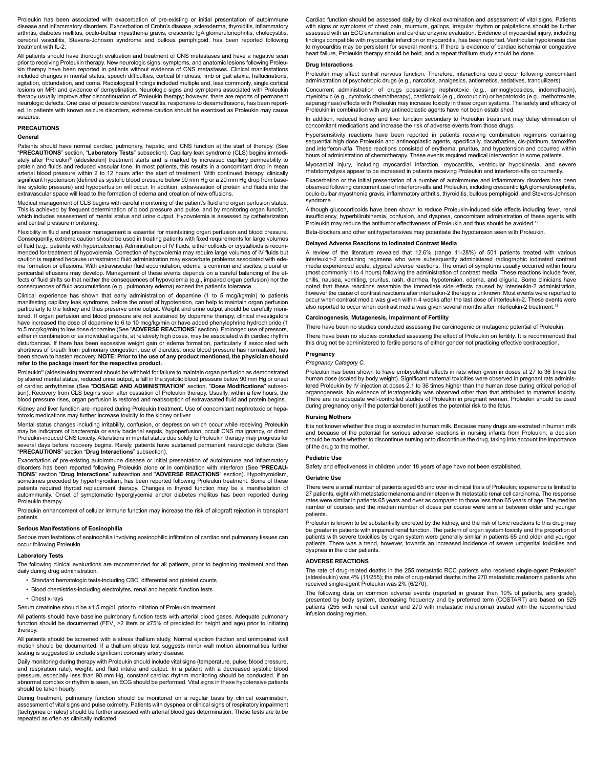Proleukin has been associated with exacerbation of pre-existing or initial presentation of autoimmune disease and inflammatory disorders. Exacerbation of Crohn's disease, scleroderma, thyroiditis, inflammatory arthritis, diabetes mellitus, oculo-bulbar myasthenia gravis, crescentic IgA glomerulonephritis, cholecystitis, cerebral vasculitis, Stevens-Johnson syndrome and bullous pemphigoid, has been reported following treatment with IL-2.

All patients should have thorough evaluation and treatment of CNS metastases and have a negative scan prior to receiving Proleukin therapy. New neurologic signs, symptoms, and anatomic lesions following Proleu-kin therapy have been reported in patients without evidence of CNS metastases. Clinical manifestations included changes in mental status, speech difficulties, cortical blindness, limb or gait ataxia, hallucinations, agitation, obtundation, and coma. Radiological findings included multiple and, less commonly, single cortical lesions on MRI and evidence of demyelination. Neurologic signs and symptoms associated with Proleukin therapy usually improve after discontinuation of Proleukin therapy; however, there are reports of permanent neurologic defects. One case of possible cerebral vasculitis, responsive to dexamethasone, has been reported. In patients with known seizure disorders, extreme caution should be exercised as Proleukin may cause seizures.

#### **PRECAUTIONS**

#### **General**

Patients should have normal cardiac, pulmonary, hepatic, and CNS function at the start of therapy. (See "**PRECAUTIONS**" section, "**Laboratory Tests**" subsection). Capillary leak syndrome (CLS) begins immediately after Proleukin® (aldesleukin) treatment starts and is marked by increased capillary permeability to protein and fluids and reduced vascular tone. In most patients, this results in a concomitant drop in mean arterial blood pressure within 2 to 12 hours after the start of treatment. With continued therapy, clinically significant hypotension (defined as systolic blood pressure below 90 mm Hg or a 20 mm Hg drop from base-line systolic pressure) and hypoperfusion will occur. In addition, extravasation of protein and fluids into the extravascular space will lead to the formation of edema and creation of new effusions.

Medical management of CLS begins with careful monitoring of the patient's fluid and organ perfusion status. This is achieved by frequent determination of blood pressure and pulse, and by monitoring organ function, which includes assessment of mental status and urine output. Hypovolemia is assessed by catheterization and central pressure monitoring.

Flexibility in fluid and pressor management is essential for maintaining organ perfusion and blood pressure. Consequently, extreme caution should be used in treating patients with fixed requirements for large volumes of fluid (e.g., patients with hypercalcemia). Administration of IV fluids, either colloids or crystalloids is recommended for treatment of hypovolemia. Correction of hypovolemia may require large volumes of IV fluids but caution is required because unrestrained fluid administration may exacerbate problems associated with edema formation or effusions. With extravascular fluid accumulation, edema is common and ascites, pleural or pericardial effusions may develop. Management of these events depends on a careful balancing of the ef-fects of fluid shifts so that neither the consequences of hypovolemia (e.g., impaired organ perfusion) nor the consequences of fluid accumulations (e.g., pulmonary edema) exceed the patient's tolerance.

Clinical experience has shown that early administration of dopamine (1 to 5 mcg/kg/min) to patients manifesting capillary leak syndrome, before the onset of hypotension, can help to maintain organ perfusion manifesting capillary leak syndrome, before the onset of hypotension, can help to maintain organ perfusion particularly to the kidney and thus preserve urine output. Weight and urine output should be carefully monitored. If organ perfusion and blood pressure are not sustained by dopamine therapy, clinical investigators have increased the dose of dopamine to 6 to 10 mcg/kg/min or have added phenylephrine hydrochloride (1 to 5 mcg/kg/min) to low dose dopamine (See "**ADVERSE REACTIONS**" section). Prolonged use of pressors, either in combination or as individual agents, at relatively high doses, may be associated with cardiac rhythm disturbances. If there has been excessive weight gain or edema formation, particularly if associated with shortness of breath from pulmonary congestion, use of diuretics, once blood pressure has normalized, has been shown to hasten recovery. **NOTE: Prior to the use of any product mentioned, the physician should refer to the package insert for the respective product.**

### Proleukin® (aldesleukin) treatment should be withheld for failure to maintain organ perfusion as demonstrated

by altered mental status, reduced urine output, a fall in the systolic blood pressure below 90 mm Hg or onset of cardiac arrhythmias (See "**DOSAGE AND ADMINISTRATION**" section, "**Dose Modifications**" subsection). Recovery from CLS begins soon after cessation of Proleukin therapy. Usually, within a few hours, the blood pressure rises, organ perfusion is restored and reabsorption of extravasated fluid and protein begins.

Kidney and liver function are impaired during Proleukin treatment. Use of concomitant nephrotoxic or hepa-totoxic medications may further increase toxicity to the kidney or liver.

Mental status changes including irritability, confusion, or depression which occur while receiving Proleukin may be indicators of bacteremia or early bacterial sepsis, hypoperfusion, occult CNS malignancy, or direct Proleukin-induced CNS toxicity. Alterations in mental status due solely to Proleukin therapy may progress for several days before recovery begins. Rarely, patients have sustained permanent neurologic deficits (See "**PRECAUTIONS**" section "**Drug Interactions**" subsection).

Exacerbation of pre-existing autoimmune disease or initial presentation of autoimmune and inflammatory disorders has been reported following Proleukin alone or in combination with interferon (See "**PRECAU-**<br>**TIONS**" section "**Drug Interactions**" subsection and "**ADVERSE REACTIONS**" section). Hypothyroidism, sometimes preceded by hyperthyroidism, has been reported following Proleukin treatment. Some of these patients required thyroid replacement therapy. Changes in thyroid function may be a manifestation of autoimmunity. Onset of symptomatic hyperglycemia and/or diabetes mellitus has been reported during Proleukin therapy.

Proleukin enhancement of cellular immune function may increase the risk of allograft rejection in transplant patients.

#### **Serious Manifestations of Eosinophilia**

Serious manifestations of eosinophilia involving eosinophilic infiltration of cardiac and pulmonary tissues can occur following Proleukin.

#### **Laboratory Tests**

The following clinical evaluations are recommended for all patients, prior to beginning treatment and then daily during drug administration.

- Standard hematologic tests-including CBC, differential and platelet counts
- Blood chemistries-including electrolytes, renal and hepatic function tests
- Chest x-rays
- Serum creatinine should be ≤1.5 mg/dL prior to initiation of Proleukin treatment.

All patients should have baseline pulmonary function tests with arterial blood gases. Adequate pulmonary function should be documented (FEV<sub>1</sub> >2 liters or ≥75% of predicted for height and age) prior to initiating therapy.

All patients should be screened with a stress thallium study. Normal ejection fraction and unimpaired wall motion should be documented. If a thallium stress test suggests minor wall motion abnormalities further testing is suggested to exclude significant coronary artery disease.

Daily monitoring during therapy with Proleukin should include vital signs (temperature, pulse, blood pressure,<br>and respiration rate), weight, and fluid intake and output. In a patient with a decreased systol pressure, especially less than 90 mm Hg, constant cardiac rhythm monitoring should be conducted. If an abnormal complex or rhythm is seen, an ECG should be performed. Vital signs in these hypotensive patients should be taken hourly.

During treatment, pulmonary function should be monitored on a regular basis by clinical examination,<br>assessment of vital signs and pulse oximetry. Patients with dyspnea or clinical signs of respiratory impairment (tachypnea or rales) should be further assessed with arterial blood gas determination. These tests are to be repeated as often as clinically indicated.

Cardiac function should be assessed daily by clinical examination and assessment of vital signs. Patients with signs or symptoms of chest pain, murmurs, gallops, irregular rhythm or palpitations should be further assessed with an ECG examination and cardiac enzyme evaluation. Evidence of myocardial injury, including findings compatible with myocardial infarction or myocarditis, has been reported. Ventricular hypokinesia due to myocarditis may be persistent for several months. If there is evidence of cardiac ischemia or congestive heart failure, Proleukin therapy should be held, and a repeat thallium study should be done.

#### **Drug Interactions**

Proleukin may affect central nervous function. Therefore, interactions could occur following concomitant administration of psychotropic drugs (e.g., narcotics, analgesics, antiemetics, sedatives, tranquilizers).

Concurrent administration of drugs possessing nephrotoxic (e.g., aminoglycosides, indomethacin), myelotoxic (e.g., cytotoxic chemotherapy), cardiotoxic (e.g., doxorubicin) or hepatotoxic (e.g., methotrexate, asparaginase) effects with Proleukin may increase toxicity in these organ systems. The safety and efficacy of Proleukin in combination with any antineoplastic agents have not been established.

In addition, reduced kidney and liver function secondary to Proleukin treatment may delay elimination of concomitant medications and increase the risk of adverse events from those drugs.

Hypersensitivity reactions have been reported in patients receiving combination regimens containing sequential high dose Proleukin and antineoplastic agents, specifically, dacarbazine, cis-platinum, tamoxifen<br>and interferon-alfa. These reactions consisted of erythema, pruritus, and hypotension and occurred within hours of administration of chemotherapy. These events required medical intervention in some patients.

Myocardial injury, including myocardial infarction, myocarditis, ventricular hypokinesia, and severe rhabdomyolysis appear to be increased in patients receiving Proleukin and interferon-alfa concurrently.

Exacerbation or the initial presentation of a number of autoimmune and inflammatory disorders has been observed following concurrent use of interferon-alfa and Proleukin, including crescentic IgA glomerulonephritis, oculo-bulbar myasthenia gravis, inflammatory arthritis, thyroiditis, bullous pemphigoid, and Stevens-Johnson syndrome.

Although glucocorticoids have been shown to reduce Proleukin-induced side effects including fever, renal insufficiency, hyperbilirubinemia, confusion, and dyspnea, concomitant administration of these agents with Proleukin may reduce the antitumor effectiveness of Proleukin and thus should be avoided.12

Beta-blockers and other antihypertensives may potentiate the hypotension seen with Proleukin.

#### **Delayed Adverse Reactions to Iodinated Contrast Media**

A review of the literature revealed that 12.6% (range 11-28%) of 501 patients treated with various interleukin-2 containing regimens who were subsequently administered radiographic iodinated contrast media experienced acute, atypical adverse reactions. The onset of symptoms usually occurred within hours (most commonly 1 to 4 hours) following the administration of contrast media. These reactions include fever, chills, nausea, vomiting, pruritus, rash, diarrhea, hypotension, edema, and oliguria. Some clinicians have noted that these reactions resemble the immediate side effects caused by interleukin-2 administration, however the cause of contrast reactions after interleukin-2 therapy is unknown. Most events were reported to occur when contrast media was given within 4 weeks after the last dose of interleukin-2. These events were also reported to occur when contrast media was given several months after interleukin-2 treatment.<sup>13</sup>

#### **Carcinogenesis, Mutagenesis, Impairment of Fertility**

There have been no studies conducted assessing the carcinogenic or mutagenic potential of Proleukin.

There have been no studies conducted assessing the effect of Proleukin on fertility. It is recommended that this drug not be administered to fertile persons of either gender not practicing effective contraception.

#### **Pregnancy**

#### *Pregnancy Category C.*

Proleukin has been shown to have embryolethal effects in rats when given in doses at 27 to 36 times the human dose (scaled by body weight). Significant maternal toxicities were observed in pregnant rats administered Proleukin by IV injection at doses 2.1 to 36 times higher than the human dose during critical period of organogenesis. No evidence of teratogenicity was observed other than that attributed to maternal toxicity. There are no adequate well-controlled studies of Proleukin in pregnant women. Proleukin should be used during pregnancy only if the potential benefit justifies the potential risk to the fetus.

#### **Nursing Mothers**

It is not known whether this drug is excreted in human milk. Because many drugs are excreted in human milk and because of the potential for serious adverse reactions in nursing infants from Proleukin, a decision should be made whether to discontinue nursing or to discontinue the drug, taking into account the importance of the drug to the mother.

#### **Pediatric Use**

Safety and effectiveness in children under 18 years of age have not been established.

#### **Geriatric Use**

There were a small number of patients aged 65 and over in clinical trials of Proleukin; experience is limited to 27 patients, eight with metastatic melanoma and nineteen with metastatic renal cell carcinoma. The response rates were similar in patients 65 years and over as compared to those less than 65 years of age. The median number of courses and the median number of doses per course were similar between older and younger patients.

Proleukin is known to be substantially excreted by the kidney, and the risk of toxic reactions to this drug may be greater in patients with impaired renal function. The pattern of organ system toxicity and the proportion of patients with severe toxicities by organ system were generally similar in patients 65 and older and younger<br>patients. There was a trend, however, towards an increased incidence of severe urogenital toxicities and dyspnea in the older patients.

#### **ADVERSE REACTIONS**

The rate of drug-related deaths in the 255 metastatic RCC patients who received single-agent Proleukin® (aldesleukin) was 4% (11/255); the rate of drug-related deaths in the 270 metastatic melanoma patients who received single-agent Proleukin was 2% (6/270).

The following data on common adverse events (reported in greater than 10% of patients, any grade), presented by body system, decreasing frequency and by preferred term (COSTART) are based on 525 patients (255 with renal cell cancer and 270 with metastatic melanoma) treated with the recommended infusion dosing regimen.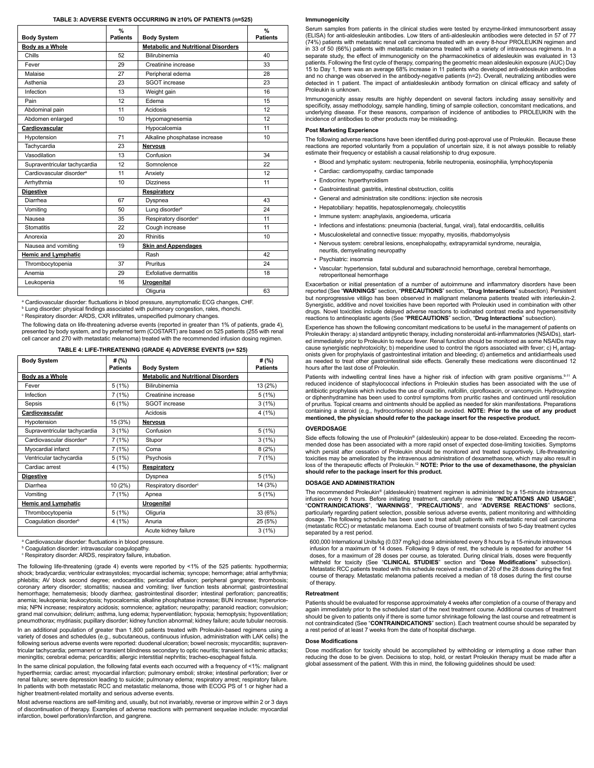#### **TABLE 3: ADVERSE EVENTS OCCURRING IN ≥10% OF PATIENTS (n=525)**

|                                      | $\%$            |                                            | %               |
|--------------------------------------|-----------------|--------------------------------------------|-----------------|
| <b>Body System</b>                   | <b>Patients</b> | <b>Body System</b>                         | <b>Patients</b> |
| Body as a Whole                      |                 | <b>Metabolic and Nutritional Disorders</b> |                 |
| Chills                               | 52              | Bilirubinemia                              | 40              |
| Fever                                | 29              | Creatinine increase                        | 33              |
| Malaise                              | 27              | Peripheral edema                           | 28              |
| Asthenia                             | 23              | SGOT increase                              | 23              |
| Infection                            | 13              | Weight gain                                | 16              |
| Pain                                 | 12              | Edema                                      | 15              |
| Abdominal pain                       | 11              | Acidosis                                   | 12              |
| Abdomen enlarged                     | 10              | Hypomagnesemia                             | 12              |
| Cardiovascular                       |                 | Hypocalcemia                               | 11              |
| Hypotension                          | 71              | Alkaline phosphatase increase              | 10 <sup>1</sup> |
| Tachycardia                          | 23              | <b>Nervous</b>                             |                 |
| Vasodilation                         | 13              | Confusion                                  | 34              |
| Supraventricular tachycardia         | 12              | Somnolence                                 | 22              |
| Cardiovascular disorder <sup>a</sup> | 11              | Anxiety                                    | 12              |
| Arrhythmia                           | 10              | <b>Dizziness</b>                           | 11              |
| <b>Digestive</b>                     |                 | Respiratory                                |                 |
| Diarrhea                             | 67              | Dyspnea                                    | 43              |
| Vomiting                             | 50              | Lung disorder <sup>b</sup>                 | 24              |
| Nausea                               | 35              | Respiratory disorder <sup>c</sup>          | 11              |
| <b>Stomatitis</b>                    | 22              | Cough increase                             | 11              |
| Anorexia                             | 20              | <b>Rhinitis</b>                            | 10 <sup>1</sup> |
| Nausea and vomiting                  | 19              | <b>Skin and Appendages</b>                 |                 |
| <b>Hemic and Lymphatic</b>           |                 | Rash                                       | 42              |
| Thrombocytopenia                     | 37              | Pruritus                                   | 24              |
| Anemia                               | 29              | <b>Exfoliative dermatitis</b>              | 18              |
| Leukopenia                           | 16              | <b>Urogenital</b>                          |                 |
|                                      |                 | Oliguria                                   | 63              |
|                                      |                 |                                            |                 |

a Cardiovascular disorder: fluctuations in blood pressure, asymptomatic ECG changes, CHF.

ʰ Lung disorder: physical findings associated with pulmonary congestion, rales, rhonchi.<br>° Respiratory disorder: ARDS, CXR infiltrates, unspecified pulmonary changes.

The following data on life-threatening adverse events (reported in greater than 1% of patients, grade 4), presented by body system, and by preferred term (COSTART) are based on 525 patients (255 with renal<br>cell cancer and 270 with metastatic melanoma) treated with the recommended infusion dosing regimen.

#### **TABLE 4: LIFE-THREATENING (GRADE 4) ADVERSE EVENTS (n= 525)**

| <b>Body System</b>                   | # (%)<br><b>Patients</b> | <b>Body System</b>                         | # $(%)$<br><b>Patients</b> |
|--------------------------------------|--------------------------|--------------------------------------------|----------------------------|
| Body as a Whole                      |                          | <b>Metabolic and Nutritional Disorders</b> |                            |
| Fever                                | 5(1%)                    | Bilirubinemia                              | 13 (2%)                    |
| Infection                            | 7(1%)                    | Creatinine increase                        | 5(1%)                      |
| Sepsis                               | 6(1%)                    | SGOT increase                              | 3(1%)                      |
| Cardiovascular                       |                          | Acidosis                                   | 4 (1%)                     |
| Hypotension                          | 15 (3%)                  | Nervous                                    |                            |
| Supraventricular tachycardia         | 3(1%)                    | Confusion                                  | 5(1%)                      |
| Cardiovascular disorder <sup>a</sup> | 7(1%)                    | Stupor                                     | 3(1%)                      |
| Myocardial infarct                   | 7(1%)                    | Coma                                       | 8(2%)                      |
| Ventricular tachycardia              | 5(1%)                    | Psychosis                                  | 7(1%)                      |
| Cardiac arrest                       | 4(1%)                    | Respiratory                                |                            |
| <b>Digestive</b>                     |                          | Dyspnea                                    | 5(1%)                      |
| Diarrhea                             | 10 (2%)                  | Respiratory disorder <sup>c</sup>          | 14 (3%)                    |
| Vomiting                             | 7(1%)                    | Apnea                                      | 5(1%)                      |
| <b>Hemic and Lymphatic</b>           |                          | Urogenital                                 |                            |
| Thrombocytopenia                     | 5(1%)                    | Oliguria                                   | 33 (6%)                    |
| Coaqulation disorder <sup>b</sup>    | 4(1%)                    | Anuria                                     | 25 (5%)                    |
|                                      |                          | Acute kidney failure                       | 3(1%)                      |

a Cardiovascular disorder: fluctuations in blood pressure.

b Coagulation disorder: intravascular coagulopathy.

c Respiratory disorder: ARDS, respiratory failure, intubation.

The following life-threatening (grade 4) events were reported by <1% of the 525 patients: hypothermia; shock; bradycardia; ventricular extrasystoles; myocardial ischemia; syncope; hemorrhage; atrial arrhythmia; phlebitis; AV block second degree; endocarditis; pericardial effusion; peripheral gangrene; thrombosis; coronary artery disorder; stomatitis; nausea and vomiting; liver function tests abnormal; gastrointestinal age; hematemesis; bloody diarrhea; gastrointestinal disorder; intestinal perforation; pancreatitis; anemia; leukopenia; leukocytosis; hypocalcemia; alkaline phosphatase increase; BUN increase; hyperuricemia; NPN increase; respiratory acidosis; somnolence; agitation; neuropathy; paranoid reaction; convulsion; grand mal convulsion; delirium; asthma, lung edema; hyperventilation; hypoxia; hemoptysis; hypoventilation; pneumothorax; mydriasis; pupillary disorder; kidney function abnormal; kidney failure; acute tubular necrosis.

In an additional population of greater than 1,800 patients treated with Proleukin-based regimens using a variety of doses and schedules (e.g., subcutaneous, continuous infusion, administration with LAK cells) the following serious adverse events were reported: duodenal ulceration; bowel necrosis; myocarditis; supraventricular tachycardia; permanent or transient blindness secondary to optic neuritis; transient ischemic attacks; meningitis; cerebral edema; pericarditis; allergic interstitial nephritis; tracheo-esophageal fistula.

In the same clinical population, the following fatal events each occurred with a frequency of <1%: malignant hyperthermia; cardiac arrest; myocardial infarction; pulmonary emboli; stroke; intestinal perforation; liver or renal failure; severe depression leading to suicide; pulmonary edema; respiratory arrest; respiratory failure. In patients with both metastatic RCC and metastatic melanoma, those with ECOG PS of 1 or higher had a higher treatment-related mortality and serious adverse events.

Most adverse reactions are self-limiting and, usually, but not invariably, reverse or improve within 2 or 3 days of discontinuation of therapy. Examples of adverse reactions with permanent sequelae include: myocardial infarction, bowel perforation/infarction, and gangrene.

#### **Immunogenicity**

Serum samples from patients in the clinical studies were tested by enzyme-linked immunosorbent assay (ELISA) for anti-aldesleukin antibodies. Low titers of anti-aldesleukin antibodies were detected in 57 of 77 (74%) patients with metastatic renal cell carcinoma treated with an every 8-hour PROLEUKIN regimen and in 33 of 50 (66%) patients with metastatic melanoma treated with a variety of intravenous regimens. In a separate study, the effect of immunogenicity on the pharmacokinetics of aldesleukin was evaluated in 13 patients. Following the first cycle of therapy, comparing the geometric mean aldesleukin exposure (AUC) Day 15 to Day 1, there was an average 68% increase in 11 patients who developed anti-aldesleukin antibodies and no change was observed in the antibody-negative patients (n=2). Overall, neutralizing antibodies were detected in 1 patient. The impact of antialdesleukin antibody formation on clinical efficacy and safety of Proleukin is unknown.

Immunogenicity assay results are highly dependent on several factors including assay sensitivity and specificity, assay methodology, sample handling, timing of sample collection, concomitant medications, and underlying disease. For these reasons, comparison of incidence of antibodies to PROLEUKIN with the incidence of antibodies to other products may be misleading.

#### **Post Marketing Experience**

The following adverse reactions have been identified during post-approval use of Proleukin. Because these reactions are reported voluntarily from a population of uncertain size, it is not always possible to reliably estimate their frequency or establish a causal relationship to drug exposure.

- Blood and lymphatic system: neutropenia, febrile neutropenia, eosinophilia, lymphocytopenia
- Cardiac: cardiomyopathy, cardiac tamponade
- Endocrine: hyperthyroidism
- Gastrointestinal: gastritis, intestinal obstruction, colitis
- General and administration site conditions: injection site necrosis
- Hepatobiliary: hepatitis, hepatosplenomegaly, cholecystitis
- Immune system: anaphylaxis, angioedema, urticaria
- Infections and infestations: pneumonia (bacterial, fungal, viral), fatal endocarditis, cellulitis
- Musculoskeletal and connective tissue: myopathy, myositis, rhabdomyolysis
- Nervous system: cerebral lesions, encephalopathy, extrapyramidal syndrome, neuralgia, neuritis, demyelinating neuropathy
- Psychiatric: insomnia
- Vascular: hypertension, fatal subdural and subarachnoid hemorrhage, cerebral hemorrhage, retroperitoneal hemorrhage

Exacerbation or initial presentation of a number of autoimmune and inflammatory disorders have been reported (See "**WARNINGS**" section, "**PRECAUTIONS**" section, "**Drug Interactions**" subsection). Persistent but nonprogressive vitiligo has been observed in malignant melanoma patients treated with interleukin-2. Synergistic, additive and novel toxicities have been reported with Proleukin used in combination with other drugs. Novel toxicities include delayed adverse reactions to iodinated contrast media and hypersensitivity reactions to antineoplastic agents (See "**PRECAUTIONS**" section, "**Drug Interactions**" subsection).

Experience has shown the following concomitant medications to be useful in the management of patients on Proleukin therapy: a) standard antipyretic therapy, including nonsteroidal anti-inflammatories (NSAIDs), start-ed immediately prior to Proleukin to reduce fever. Renal function should be monitored as some NSAIDs may cause synergistic nephrotoxicity; b) meperidine used to control the rigors associated with fever; c)  $H_2$  antagonists given for prophylaxis of gastrointestinal irritation and bleeding; d) antiemetics and antidiarrheals used as needed to treat other gastrointestinal side effects. Generally these medications were discontinued 12 hours after the last dose of Proleukin.

Patients with indwelling central lines have a higher risk of infection with gram positive organisms.<sup>9-11</sup> A reduced incidence of staphylococcal infections in Proleukin studies has been associated with the use of antibiotic prophylaxis which includes the use of oxacillin, nafcillin, ciprofloxacin, or vancomycin. Hydroxyzine or diphenhydramine has been used to control symptoms from pruritic rashes and continued until resolution of pruritus. Topical creams and ointments should be applied as needed for skin manifestations. Preparations containing a steroid (e.g., hydrocortisone) should be avoided. **NOTE: Prior to the use of any product mentioned, the physician should refer to the package insert for the respective product.**

#### **OVERDOSAGE**

Side effects following the use of Proleukin® (aldesleukin) appear to be dose-related. Exceeding the recommended dose has been associated with a more rapid onset of expected dose-limiting toxicities. Symptoms which persist after cessation of Proleukin should be monitored and treated supportively. Life-threatening toxicities may be ameliorated by the intravenous administration of dexamethasone, which may also result in loss of the therapeutic effects of Proleukin.12 **NOTE: Prior to the use of dexamethasone, the physician should refer to the package insert for this product.**

#### **DOSAGE AND ADMINISTRATION**

The recommended Proleukin® (aldesleukin) treatment regimen is administered by a 15-minute intravenous infusion every 8 hours. Before initiating treatment, carefully review the "**INDICATIONS AND USAGE**", "**CONTRAINDICATIONS**", "**WARNINGS**", "**PRECAUTIONS**", and "**ADVERSE REACTIONS**" sections, particularly regarding patient selection, possible serious adverse events, patient monitoring and withholding dosage. The following schedule has been used to treat adult patients with metastatic renal cell carcinoma (metastatic RCC) or metastatic melanoma. Each course of treatment consists of two 5-day treatment cycles separated by a rest period.

600,000 International Units/kg (0.037 mg/kg) dose administered every 8 hours by a 15-minute intravenous<br>infusion for a maximum of 14 doses. Following 9 days of rest, the schedule is repeated for another 14<br>doses, for a ma withheld for toxicity (See "**CLINICAL STUDIES**" section and "**Dose Modifications**" subsection). Metastatic RCC patients treated with this schedule received a median of 20 of the 28 doses during the first course of therapy. Metastatic melanoma patients received a median of 18 doses during the first course of therapy.

#### **Retreatment**

Patients should be evaluated for response approximately 4 weeks after completion of a course of therapy and again immediately prior to the scheduled start of the next treatment course. Additional courses of treatment should be given to patients only if there is some tumor shrinkage following the last course and retreatment is not contraindicated (See "**CONTRAINDICATIONS**" section). Each treatment course should be separated by a rest period of at least 7 weeks from the date of hospital discharge.

#### **Dose Modifications**

Dose modification for toxicity should be accomplished by withholding or interrupting a dose rather than reducing the dose to be given. Decisions to stop, hold, or restart Proleukin therapy must be made after a global assessment of the patient. With this in mind, the following guidelines should be used: